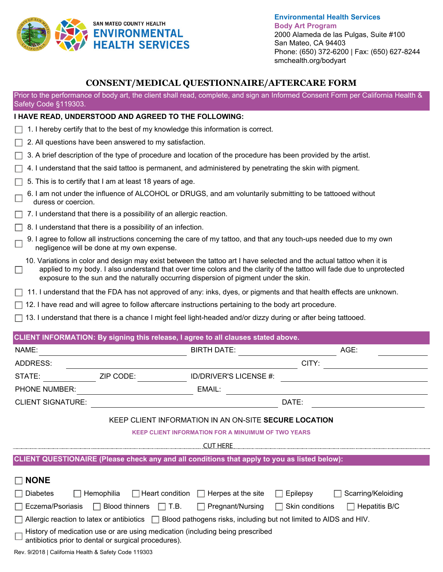

**Environmental Health Services Body Art Program**  2000 Alameda de las Pulgas, Suite #100 San Mateo, CA 94403 Phone: (650) 372-6200 | Fax: (650) 627-8244 smchealth.org/bodyart

## **CONSENT/MEDICAL QUESTIONNAIRE/AFTERCARE FORM**

Prior to the performance of body art, the client shall read, complete, and sign an Informed Consent Form per California Health & Safety Code §119303.

## **I HAVE READ, UNDERSTOOD AND AGREED TO THE FOLLOWING:**

- $\Box$  1. I hereby certify that to the best of my knowledge this information is correct.
- $\Box$  2. All questions have been answered to my satisfaction.
- $\Box$  3. A brief description of the type of procedure and location of the procedure has been provided by the artist.
- $\Box$  4. I understand that the said tattoo is permanent, and administered by penetrating the skin with pigment.
- $\Box$  5. This is to certify that I am at least 18 years of age.
- 6. I am not under the influence of ALCOHOL or DRUGS, and am voluntarily submitting to be tattooed without duress or coercion.
- $\Box$  7. I understand that there is a possibility of an allergic reaction.
- $\Box$  8. I understand that there is a possibility of an infection.
- 9. I agree to follow all instructions concerning the care of my tattoo, and that any touch-ups needed due to my own negligence will be done at my own expense.
- 10. Variations in color and design may exist between the tattoo art I have selected and the actual tattoo when it is applied to my body. I also understand that over time colors and the clarity of the tattoo will fade due to unprotected  $\Box$ exposure to the sun and the naturally occurring dispersion of pigment under the skin.
- $\Box$  11. I understand that the FDA has not approved of any: inks, dyes, or pigments and that health effects are unknown.
- $\Box$  12. I have read and will agree to follow aftercare instructions pertaining to the body art procedure.
- $\Box$  13. I understand that there is a chance I might feel light-headed and/or dizzy during or after being tattooed.

| CLIENT INFORMATION: By signing this release, I agree to all clauses stated above.                                                     |                                             |                        |                                |  |  |
|---------------------------------------------------------------------------------------------------------------------------------------|---------------------------------------------|------------------------|--------------------------------|--|--|
| NAME:                                                                                                                                 |                                             | <b>BIRTH DATE:</b>     | AGE:                           |  |  |
| ADDRESS:                                                                                                                              |                                             |                        | CITY:                          |  |  |
| STATE:                                                                                                                                | ZIP CODE:                                   | ID/DRIVER'S LICENSE #: |                                |  |  |
| PHONE NUMBER:                                                                                                                         |                                             | EMAIL:                 |                                |  |  |
| <b>CLIENT SIGNATURE:</b>                                                                                                              | DATE:                                       |                        |                                |  |  |
| KEEP CLIENT INFORMATION IN AN ON-SITE SECURE LOCATION                                                                                 |                                             |                        |                                |  |  |
| <b>KEEP CLIENT INFORMATION FOR A MINUIMUM OF TWO YEARS</b>                                                                            |                                             |                        |                                |  |  |
| <b>CUT HERE</b>                                                                                                                       |                                             |                        |                                |  |  |
| CLIENT QUESTIONAIRE (Please check any and all conditions that apply to you as listed below):                                          |                                             |                        |                                |  |  |
| <b>NONE</b>                                                                                                                           |                                             |                        |                                |  |  |
| <b>Diabetes</b>                                                                                                                       | $\Box$ Heart condition $\Box$<br>Hemophilia | Herpes at the site     | Epilepsy<br>Scarring/Keloiding |  |  |
| Eczema/Psoriasis<br><b>Blood thinners</b><br>T.B.<br>Skin conditions<br>Pregnant/Nursing<br>Hepatitis B/C<br>$\perp$                  |                                             |                        |                                |  |  |
| Allergic reaction to latex or antibiotics $\Box$ Blood pathogens risks, including but not limited to AIDS and HIV.                    |                                             |                        |                                |  |  |
| History of medication use or are using medication (including being prescribed<br>antibiotics prior to dental or surgical procedures). |                                             |                        |                                |  |  |
| Rev. 9/2018   California Health & Safety Code 119303                                                                                  |                                             |                        |                                |  |  |